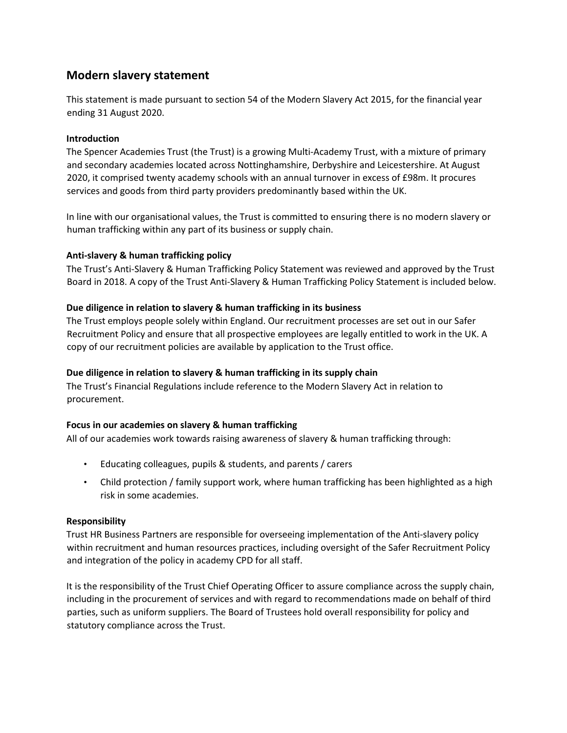# **Modern slavery statement**

This statement is made pursuant to section 54 of the Modern Slavery Act 2015, for the financial year ending 31 August 2020.

#### **Introduction**

The Spencer Academies Trust (the Trust) is a growing Multi-Academy Trust, with a mixture of primary and secondary academies located across Nottinghamshire, Derbyshire and Leicestershire. At August 2020, it comprised twenty academy schools with an annual turnover in excess of £98m. It procures services and goods from third party providers predominantly based within the UK.

In line with our organisational values, the Trust is committed to ensuring there is no modern slavery or human trafficking within any part of its business or supply chain.

## **Anti-slavery & human trafficking policy**

The Trust's Anti-Slavery & Human Trafficking Policy Statement was reviewed and approved by the Trust Board in 2018. A copy of the Trust Anti-Slavery & Human Trafficking Policy Statement is included below.

## **Due diligence in relation to slavery & human trafficking in its business**

The Trust employs people solely within England. Our recruitment processes are set out in our Safer Recruitment Policy and ensure that all prospective employees are legally entitled to work in the UK. A copy of our recruitment policies are available by application to the Trust office.

#### **Due diligence in relation to slavery & human trafficking in its supply chain**

The Trust's Financial Regulations include reference to the Modern Slavery Act in relation to procurement.

#### **Focus in our academies on slavery & human trafficking**

All of our academies work towards raising awareness of slavery & human trafficking through:

- Educating colleagues, pupils & students, and parents / carers
- Child protection / family support work, where human trafficking has been highlighted as a high risk in some academies.

#### **Responsibility**

Trust HR Business Partners are responsible for overseeing implementation of the Anti-slavery policy within recruitment and human resources practices, including oversight of the Safer Recruitment Policy and integration of the policy in academy CPD for all staff.

It is the responsibility of the Trust Chief Operating Officer to assure compliance across the supply chain, including in the procurement of services and with regard to recommendations made on behalf of third parties, such as uniform suppliers. The Board of Trustees hold overall responsibility for policy and statutory compliance across the Trust.